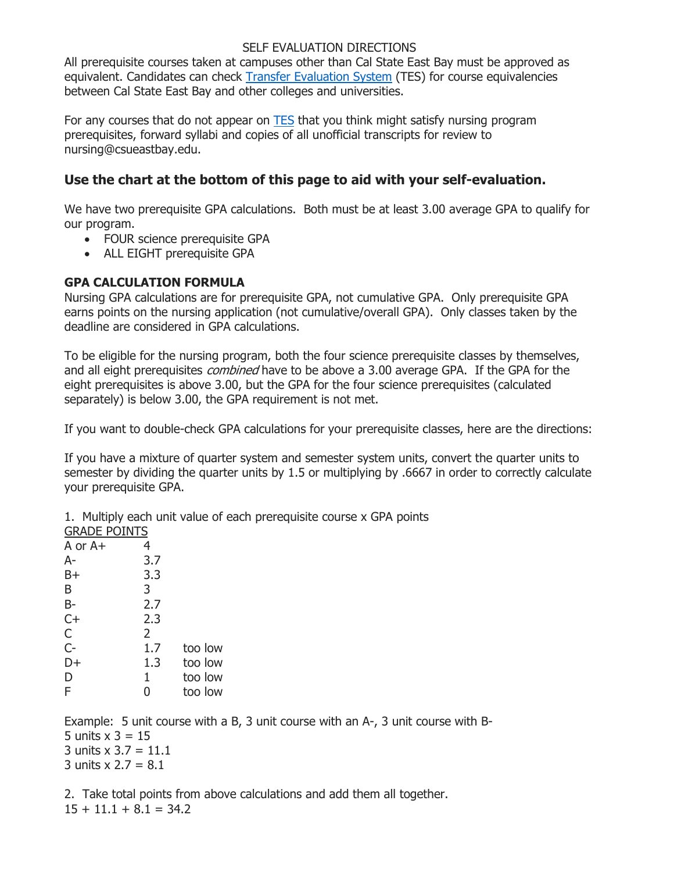#### SELF EVALUATION DIRECTIONS

All prerequisite courses taken at campuses other than Cal State East Bay must be approved as equivalent. Candidates can check [Transfer Evaluation System](https://tes.collegesource.com/publicview/TES_publicview01.aspx?rid=b75e02ac-0916-413d-8adf-f8011538371f&aid=c79a2650-be66-45fb-9aff-c6f976fd20ff) (TES) for course equivalencies between Cal State East Bay and other colleges and universities.

For any courses that do not appear on **[TES](https://tes.collegesource.com/publicview/TES_publicview01.aspx?rid=b75e02ac-0916-413d-8adf-f8011538371f&aid=c79a2650-be66-45fb-9aff-c6f976fd20ff)** that you think might satisfy nursing program prerequisites, forward syllabi and copies of all unofficial transcripts for review to nursing@csueastbay.edu.

# **Use the chart at the bottom of this page to aid with your self-evaluation.**

We have two prerequisite GPA calculations. Both must be at least 3.00 average GPA to qualify for our program.

- FOUR science prerequisite GPA
- ALL EIGHT prerequisite GPA

### **GPA CALCULATION FORMULA**

Nursing GPA calculations are for prerequisite GPA, not cumulative GPA. Only prerequisite GPA earns points on the nursing application (not cumulative/overall GPA). Only classes taken by the deadline are considered in GPA calculations.

To be eligible for the nursing program, both the four science prerequisite classes by themselves, and all eight prerequisites *combined* have to be above a 3.00 average GPA. If the GPA for the eight prerequisites is above 3.00, but the GPA for the four science prerequisites (calculated separately) is below 3.00, the GPA requirement is not met.

If you want to double-check GPA calculations for your prerequisite classes, here are the directions:

If you have a mixture of quarter system and semester system units, convert the quarter units to semester by dividing the quarter units by 1.5 or multiplying by .6667 in order to correctly calculate your prerequisite GPA.

1. Multiply each unit value of each prerequisite course x GPA points

| <b>GRADE POINTS</b> |     |         |
|---------------------|-----|---------|
| A or A+             | 4   |         |
| A-                  | 3.7 |         |
| $B+$                | 3.3 |         |
| B                   | 3   |         |
| $B-$                | 2.7 |         |
| $C+$                | 2.3 |         |
| C                   | 2   |         |
| $C-$                | 1.7 | too low |
| D+                  | 1.3 | too low |
| D                   | 1   | too low |
| F                   | 0   | too low |
|                     |     |         |

Example: 5 unit course with a B, 3 unit course with an A-, 3 unit course with B-5 units  $x$  3 = 15 3 units  $x = 3.7 = 11.1$ 3 units  $x 2.7 = 8.1$ 

2. Take total points from above calculations and add them all together.  $15 + 11.1 + 8.1 = 34.2$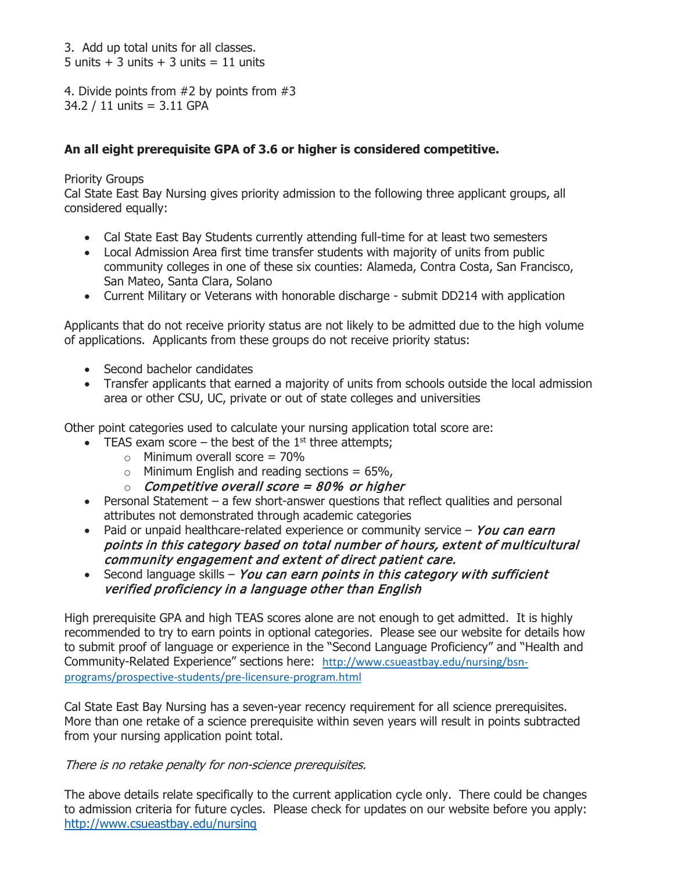3. Add up total units for all classes. 5 units  $+$  3 units  $+$  3 units  $=$  11 units

4. Divide points from #2 by points from #3 34.2 / 11 units = 3.11 GPA

## **An all eight prerequisite GPA of 3.6 or higher is considered competitive.**

Priority Groups

Cal State East Bay Nursing gives priority admission to the following three applicant groups, all considered equally:

- Cal State East Bay Students currently attending full-time for at least two semesters
- Local Admission Area first time transfer students with majority of units from public community colleges in one of these six counties: Alameda, Contra Costa, San Francisco, San Mateo, Santa Clara, Solano
- Current Military or Veterans with honorable discharge submit DD214 with application

Applicants that do not receive priority status are not likely to be admitted due to the high volume of applications. Applicants from these groups do not receive priority status:

- Second bachelor candidates
- Transfer applicants that earned a majority of units from schools outside the local admission area or other CSU, UC, private or out of state colleges and universities

Other point categories used to calculate your nursing application total score are:

- TEAS exam score the best of the  $1<sup>st</sup>$  three attempts;
	- $\circ$  Minimum overall score = 70%
	- $\circ$  Minimum English and reading sections = 65%,
	- $\circ$  Competitive overall score = 80% or higher
- Personal Statement a few short-answer questions that reflect qualities and personal attributes not demonstrated through academic categories
- Paid or unpaid healthcare-related experience or community service  $-$  You can earn points in this category based on total number of hours, extent of multicultural community engagement and extent of direct patient care.
- Second language skills You can earn points in this category with sufficient verified proficiency in a language other than English

High prerequisite GPA and high TEAS scores alone are not enough to get admitted. It is highly recommended to try to earn points in optional categories. Please see our website for details how to submit proof of language or experience in the "Second Language Proficiency" and "Health and Community-Related Experience" sections here: [http://www.csueastbay.edu/nursing/bsn](http://www.csueastbay.edu/nursing/bsn-programs/prospective-students/pre-licensure-program.html)[programs/prospective-students/pre-licensure-program.html](http://www.csueastbay.edu/nursing/bsn-programs/prospective-students/pre-licensure-program.html)

Cal State East Bay Nursing has a seven-year recency requirement for all science prerequisites. More than one retake of a science prerequisite within seven years will result in points subtracted from your nursing application point total.

There is no retake penalty for non-science prerequisites.

The above details relate specifically to the current application cycle only. There could be changes to admission criteria for future cycles. Please check for updates on our website before you apply: http://www.csueastbay.edu/nursing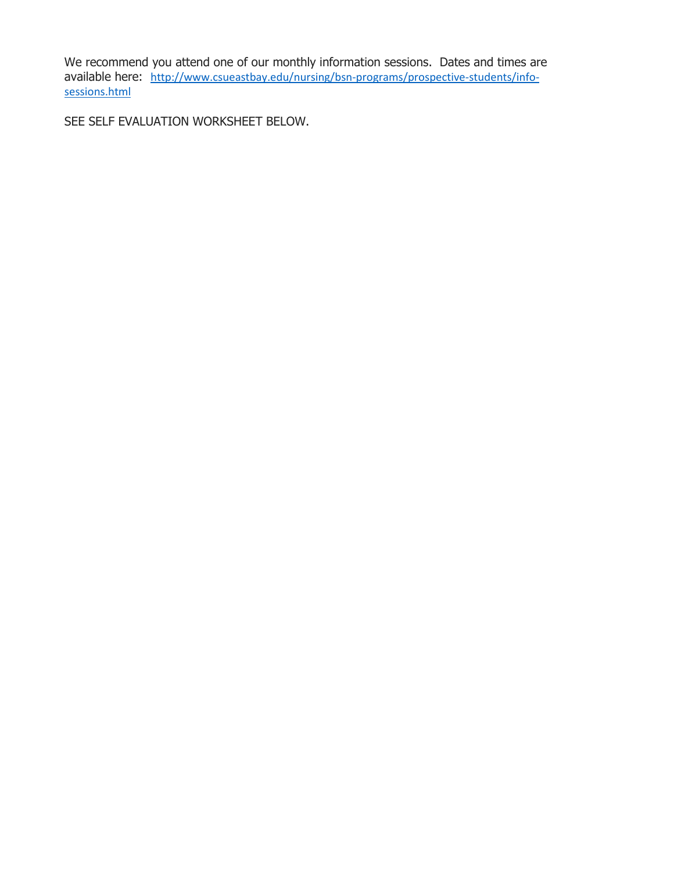We recommend you attend one of our monthly information sessions. Dates and times are available here: [http://www.csueastbay.edu/nursing/bsn-programs/prospective-students/info](http://www.csueastbay.edu/nursing/bsn-programs/prospective-students/info-sessions.html)[sessions.html](http://www.csueastbay.edu/nursing/bsn-programs/prospective-students/info-sessions.html)

SEE SELF EVALUATION WORKSHEET BELOW.